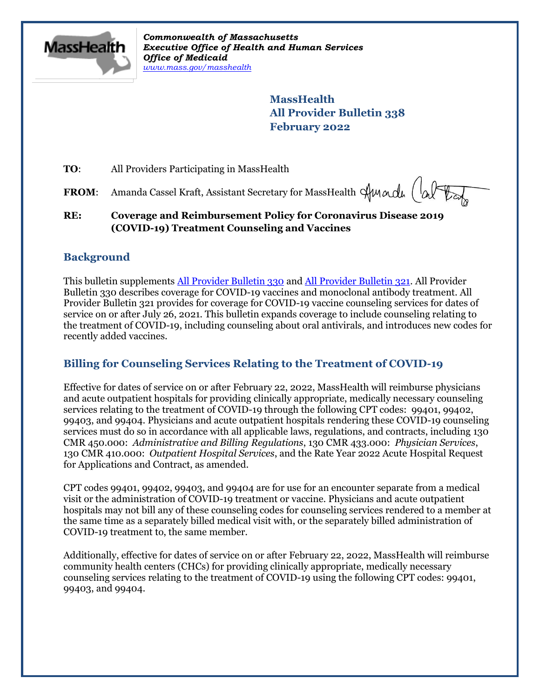

*Commonwealth of Massachusetts Executive Office of Health and Human Services Office of Medicaid [www.mass.gov/masshealth](http://www.mass.gov/masshealth)*

> **MassHealth All Provider Bulletin 338 February 2022**

**TO:** All Providers Participating in MassHealth

FROM: Amanda Cassel Kraft, Assistant Secretary for MassHealth Amade (alter

**RE: Coverage and Reimbursement Policy for Coronavirus Disease 2019 (COVID-19) Treatment Counseling and Vaccines**

## **Background**

This bulletin supplements [All Provider Bulletin 330](https://www.mass.gov/doc/all-provider-bulletin-330-masshealth-coverage-for-coronavirus-disease-2019-covid-19-vaccines-including-pediatric-vaccines-and-monoclonal-antibodies-0/download) an[d All Provider Bulletin 321.](https://www.mass.gov/doc/all-provider-bulletin-321-coverage-and-reimbursement-policy-for-services-related-to-coronavirus-disease-2019-covid-19-vaccine-counseling-0/download) All Provider Bulletin 330 describes coverage for COVID-19 vaccines and monoclonal antibody treatment. All Provider Bulletin 321 provides for coverage for COVID-19 vaccine counseling services for dates of service on or after July 26, 2021. This bulletin expands coverage to include counseling relating to the treatment of COVID-19, including counseling about oral antivirals, and introduces new codes for recently added vaccines.

## **Billing for Counseling Services Relating to the Treatment of COVID-19**

Effective for dates of service on or after February 22, 2022, MassHealth will reimburse physicians and acute outpatient hospitals for providing clinically appropriate, medically necessary counseling services relating to the treatment of COVID-19 through the following CPT codes: 99401, 99402, 99403, and 99404. Physicians and acute outpatient hospitals rendering these COVID-19 counseling services must do so in accordance with all applicable laws, regulations, and contracts, including 130 CMR 450.000: *Administrative and Billing Regulations*, 130 CMR 433.000: *Physician Services*, 130 CMR 410.000: *Outpatient Hospital Services*, and the Rate Year 2022 Acute Hospital Request for Applications and Contract, as amended.

CPT codes 99401, 99402, 99403, and 99404 are for use for an encounter separate from a medical visit or the administration of COVID-19 treatment or vaccine. Physicians and acute outpatient hospitals may not bill any of these counseling codes for counseling services rendered to a member at the same time as a separately billed medical visit with, or the separately billed administration of COVID-19 treatment to, the same member.

Additionally, effective for dates of service on or after February 22, 2022, MassHealth will reimburse community health centers (CHCs) for providing clinically appropriate, medically necessary counseling services relating to the treatment of COVID-19 using the following CPT codes: 99401, 99403, and 99404.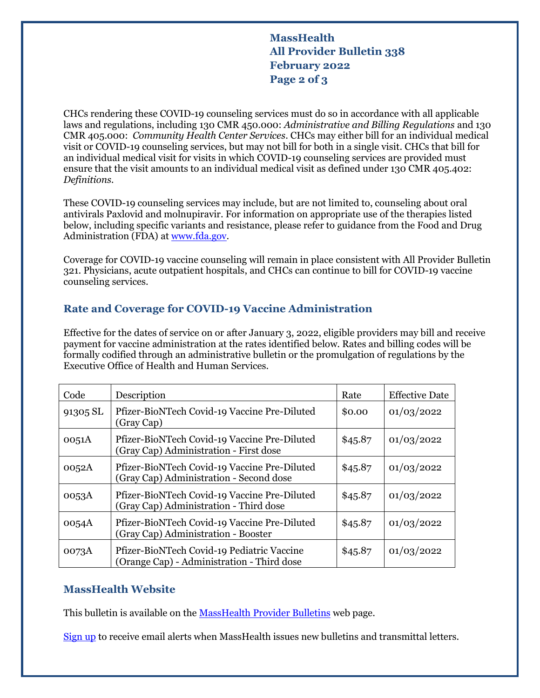## **MassHealth All Provider Bulletin 338 February 2022 Page 2 of 3**

CHCs rendering these COVID-19 counseling services must do so in accordance with all applicable laws and regulations, including 130 CMR 450.000: *Administrative and Billing Regulations* and 130 CMR 405.000: *Community Health Center Services*. CHCs may either bill for an individual medical visit or COVID-19 counseling services, but may not bill for both in a single visit. CHCs that bill for an individual medical visit for visits in which COVID-19 counseling services are provided must ensure that the visit amounts to an individual medical visit as defined under 130 CMR 405.402: *Definitions.*

These COVID-19 counseling services may include, but are not limited to, counseling about oral antivirals Paxlovid and molnupiravir. For information on appropriate use of the therapies listed below, including specific variants and resistance, please refer to guidance from the Food and Drug Administration (FDA) at [www.fda.gov.](http://www.fda.gov/)

Coverage for COVID-19 vaccine counseling will remain in place consistent with All Provider Bulletin 321. Physicians, acute outpatient hospitals, and CHCs can continue to bill for COVID-19 vaccine counseling services.

### **Rate and Coverage for COVID-19 Vaccine Administration**

Effective for the dates of service on or after January 3, 2022, eligible providers may bill and receive payment for vaccine administration at the rates identified below. Rates and billing codes will be formally codified through an administrative bulletin or the promulgation of regulations by the Executive Office of Health and Human Services.

| Code     | Description                                                                              | Rate    | <b>Effective Date</b> |
|----------|------------------------------------------------------------------------------------------|---------|-----------------------|
| 91305 SL | Pfizer-BioNTech Covid-19 Vaccine Pre-Diluted<br>(Gray Cap)                               | \$0.00  | 01/03/2022            |
| 0051A    | Pfizer-BioNTech Covid-19 Vaccine Pre-Diluted<br>(Gray Cap) Administration - First dose   | \$45.87 | 01/03/2022            |
| 0052A    | Pfizer-BioNTech Covid-19 Vaccine Pre-Diluted<br>(Gray Cap) Administration - Second dose  | \$45.87 | 01/03/2022            |
| 0053A    | Pfizer-BioNTech Covid-19 Vaccine Pre-Diluted<br>(Gray Cap) Administration - Third dose   | \$45.87 | 01/03/2022            |
| 0054A    | Pfizer-BioNTech Covid-19 Vaccine Pre-Diluted<br>(Gray Cap) Administration - Booster      | \$45.87 | 01/03/2022            |
| 0073A    | Pfizer-BioNTech Covid-19 Pediatric Vaccine<br>(Orange Cap) - Administration - Third dose | \$45.87 | 01/03/2022            |

#### **MassHealth Website**

This bulletin is available on th[e MassHealth Provider Bulletins](http://www.mass.gov/masshealth-provider-bulletins) web page.

[Sign up](https://www.mass.gov/forms/email-notifications-for-masshealth-provider-bulletins-and-transmittal-letters) to receive email alerts when MassHealth issues new bulletins and transmittal letters.